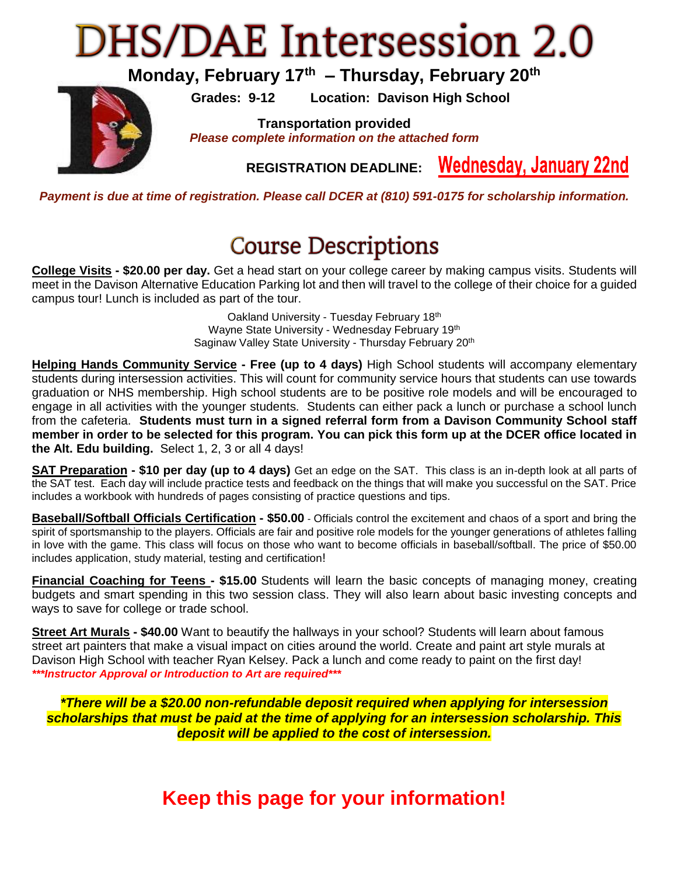## **DHS/DAE Intersession 2.0**

**Monday, February 17th – Thursday, February 20th**

**Grades: 9-12 Location: Davison High School**



**Transportation provided** *Please complete information on the attached form*

> **Wednesday, January 22nd REGISTRATION DEADLINE:**

*Payment is due at time of registration. Please call DCER at (810) 591-0175 for scholarship information.*

## **Course Descriptions**

**College Visits - \$20.00 per day.** Get a head start on your college career by making campus visits. Students will meet in the Davison Alternative Education Parking lot and then will travel to the college of their choice for a guided campus tour! Lunch is included as part of the tour.

> Oakland University - Tuesday February 18th Wayne State University - Wednesday February 19th Saginaw Valley State University - Thursday February 20<sup>th</sup>

**Helping Hands Community Service - Free (up to 4 days)** High School students will accompany elementary students during intersession activities. This will count for community service hours that students can use towards graduation or NHS membership. High school students are to be positive role models and will be encouraged to engage in all activities with the younger students. Students can either pack a lunch or purchase a school lunch from the cafeteria. **Students must turn in a signed referral form from a Davison Community School staff member in order to be selected for this program. You can pick this form up at the DCER office located in the Alt. Edu building.** Select 1, 2, 3 or all 4 days!

**SAT Preparation - \$10 per day (up to 4 days)** Get an edge on the SAT. This class is an in-depth look at all parts of the SAT test. Each day will include practice tests and feedback on the things that will make you successful on the SAT. Price includes a workbook with hundreds of pages consisting of practice questions and tips.

**Baseball/Softball Officials Certification - \$50.00** - Officials control the excitement and chaos of a sport and bring the spirit of sportsmanship to the players. Officials are fair and positive role models for the younger generations of athletes falling in love with the game. This class will focus on those who want to become officials in baseball/softball. The price of \$50.00 includes application, study material, testing and certification!

**Financial Coaching for Teens - \$15.00** Students will learn the basic concepts of managing money, creating budgets and smart spending in this two session class. They will also learn about basic investing concepts and ways to save for college or trade school.

**Street Art Murals - \$40.00** Want to beautify the hallways in your school? Students will learn about famous street art painters that make a visual impact on cities around the world. Create and paint art style murals at Davison High School with teacher Ryan Kelsey. Pack a lunch and come ready to paint on the first day! *\*\*\*Instructor Approval or Introduction to Art are required\*\*\**

*\*There will be a \$20.00 non-refundable deposit required when applying for intersession scholarships that must be paid at the time of applying for an intersession scholarship. This deposit will be applied to the cost of intersession.*

**Keep this page for your information!**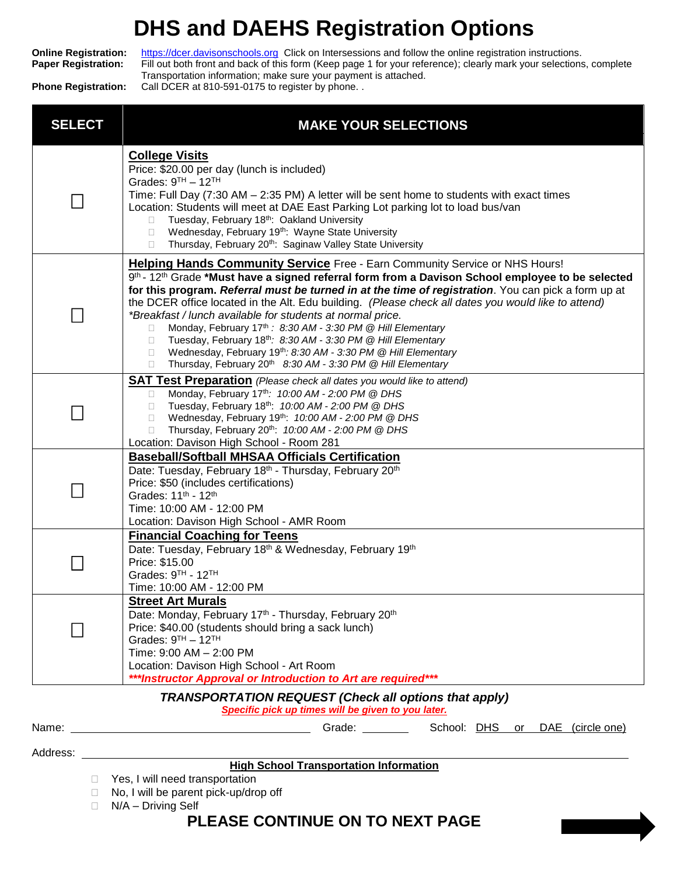## **DHS and DAEHS Registration Options**

**Online Registration:** [https://dcer.davisonschools.org](https://dcer.davisonschools.org/) Click on Intersessions and follow the online registration instructions. **Paper Registration:** Fill out both front and back of this form (Keep page 1 for your reference); clearly mark your selections, complete Transportation information; make sure your payment is attached. **Phone Registration:** Call DCER at 810-591-0175 to register by phone. .

*TRANSPORTATION REQUEST (Check all options that apply) Specific pick up times will be given to you later.* Name: Grade: School: DHS or DAE (circle one) Address: **High School Transportation Information** □ Yes, I will need transportation □ No, I will be parent pick-up/drop off  $\Box$  N/A – Driving Self **SELECT MAKE YOUR SELECTIONS**  $\Box$ **College Visits** Price: \$20.00 per day (lunch is included) Grades: 9™ – 12™ Time: Full Day (7:30 AM – 2:35 PM) A letter will be sent home to students with exact times Location: Students will meet at DAE East Parking Lot parking lot to load bus/van  $\Box$  Tuesday, February 18<sup>th</sup>: Oakland University  $\Box$  Wednesday, February 19<sup>th</sup>: Wayne State University  $\Box$  Thursday, February 20<sup>th</sup>: Saginaw Valley State University  $\Box$ **Helping Hands Community Service** Free - Earn Community Service or NHS Hours! 9 th - 12th Grade **\*Must have a signed referral form from a Davison School employee to be selected for this program.** *Referral must be turned in at the time of registration*. You can pick a form up at the DCER office located in the Alt. Edu building. *(Please check all dates you would like to attend) \*Breakfast / lunch available for students at normal price.* Monday, February 17th *: 8:30 AM - 3:30 PM @ Hill Elementary* Tuesday, February 18th*: 8:30 AM - 3:30 PM @ Hill Elementary* Wednesday, February 19th*: 8:30 AM - 3:30 PM @ Hill Elementary* □ Thursday, February 20<sup>th</sup> 8:30 AM - 3:30 PM @ Hill Elementary  $\Box$ **SAT Test Preparation** *(Please check all dates you would like to attend)*  Monday, February 17th*: 10:00 AM - 2:00 PM @ DHS* Tuesday, February 18th: *10:00 AM - 2:00 PM @ DHS* Wednesday, February 19th: *10:00 AM - 2:00 PM @ DHS* Thursday, February 20th: *10:00 AM - 2:00 PM @ DHS* Location: Davison High School - Room 281 П **Baseball/Softball MHSAA Officials Certification** Date: Tuesday, February 18<sup>th</sup> - Thursday, February 20<sup>th</sup> Price: \$50 (includes certifications) Grades: 11th - 12th Time: 10:00 AM - 12:00 PM Location: Davison High School - AMR Room  $\mathsf{L}$ **Financial Coaching for Teens**  Date: Tuesday, February 18<sup>th</sup> & Wednesday, February 19<sup>th</sup> Price: \$15.00 Grades: 9™ - 12™ Time: 10:00 AM - 12:00 PM  $\Box$ **Street Art Murals** Date: Monday, February 17<sup>th</sup> - Thursday, February 20<sup>th</sup> Price: \$40.00 (students should bring a sack lunch) Grades: 9™ – 12™ Time: 9:00 AM – 2:00 PM Location: Davison High School - Art Room *\*\*\*Instructor Approval or Introduction to Art are required\*\*\**

**PLEASE CONTINUE ON TO NEXT PAGE**